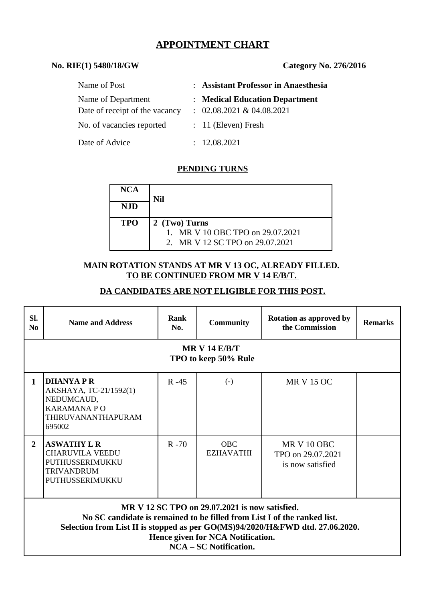# **APPOINTMENT CHART**

#### **No. RIE(1) 5480/18/GW Category No. 276/2016**

| Name of Post                   | : Assistant Professor in Anaesthesia |
|--------------------------------|--------------------------------------|
| Name of Department             | : Medical Education Department       |
| Date of receipt of the vacancy | $: 02.08.2021 \& 04.08.2021$         |
| No. of vacancies reported      | $: 11$ (Eleven) Fresh                |
| Date of Advice                 | : 12.08.2021                         |

## **PENDING TURNS**

| <b>NCA</b> | Nil                                                                                  |
|------------|--------------------------------------------------------------------------------------|
| <b>NJD</b> |                                                                                      |
| <b>TPO</b> | 2 (Two) Turns<br>1. MR V 10 OBC TPO on 29.07.2021<br>2. MR V 12 SC TPO on 29.07.2021 |

#### **MAIN ROTATION STANDS AT MR V 13 OC, ALREADY FILLED. TO BE CONTINUED FROM MR V 14 E/B/T.**

#### **DA CANDIDATES ARE NOT ELIGIBLE FOR THIS POST.**

| SI.<br>N <sub>0</sub>                                                                                                                                                                                                                                                             | <b>Name and Address</b>                                                                                  | Rank<br>No. | <b>Community</b>               | <b>Rotation as approved by</b><br>the Commission     | <b>Remarks</b> |  |
|-----------------------------------------------------------------------------------------------------------------------------------------------------------------------------------------------------------------------------------------------------------------------------------|----------------------------------------------------------------------------------------------------------|-------------|--------------------------------|------------------------------------------------------|----------------|--|
| MR V 14 $E/B/T$<br>TPO to keep 50% Rule                                                                                                                                                                                                                                           |                                                                                                          |             |                                |                                                      |                |  |
| $\mathbf{1}$                                                                                                                                                                                                                                                                      | DHANYA P R<br>AKSHAYA, TC-21/1592(1)<br>NEDUMCAUD,<br><b>KARAMANA PO</b><br>THIRUVANANTHAPURAM<br>695002 | $R - 45$    | $(-)$                          | <b>MR V 15 OC</b>                                    |                |  |
| $\overline{2}$                                                                                                                                                                                                                                                                    | <b>ASWATHY L R</b><br><b>CHARUVILA VEEDU</b><br>PUTHUSSERIMUKKU<br><b>TRIVANDRUM</b><br>PUTHUSSERIMUKKU  | $R - 70$    | <b>OBC</b><br><b>EZHAVATHI</b> | MR V 10 OBC<br>TPO on 29.07.2021<br>is now satisfied |                |  |
| MR V 12 SC TPO on 29.07.2021 is now satisfied.<br>No SC candidate is remained to be filled from List I of the ranked list.<br>Selection from List II is stopped as per GO(MS)94/2020/H&FWD dtd. 27.06.2020.<br>Hence given for NCA Notification.<br><b>NCA – SC Notification.</b> |                                                                                                          |             |                                |                                                      |                |  |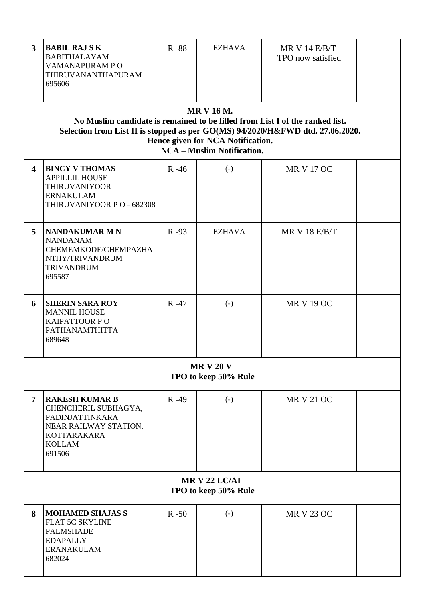| 3                                        | <b>BABIL RAJ S K</b><br><b>BABITHALAYAM</b><br>VAMANAPURAM PO<br>THIRUVANANTHAPURAM<br>695606                                                                                                                                                                 | R-88     | <b>EZHAVA</b>          | <b>MR V 14 E/B/T</b><br>TPO now satisfied |  |  |
|------------------------------------------|---------------------------------------------------------------------------------------------------------------------------------------------------------------------------------------------------------------------------------------------------------------|----------|------------------------|-------------------------------------------|--|--|
|                                          | <b>MR V 16 M.</b><br>No Muslim candidate is remained to be filled from List I of the ranked list.<br>Selection from List II is stopped as per GO(MS) 94/2020/H&FWD dtd. 27.06.2020.<br>Hence given for NCA Notification.<br><b>NCA - Muslim Notification.</b> |          |                        |                                           |  |  |
| 4                                        | <b>BINCY V THOMAS</b><br><b>APPILLIL HOUSE</b><br><b>THIRUVANIYOOR</b><br><b>ERNAKULAM</b><br>THIRUVANIYOOR PO - 682308                                                                                                                                       | $R - 46$ | $\left( \cdot \right)$ | <b>MR V 17 OC</b>                         |  |  |
| 5                                        | <b>NANDAKUMAR M N</b><br><b>NANDANAM</b><br>CHEMEMKODE/CHEMPAZHA<br>NTHY/TRIVANDRUM<br><b>TRIVANDRUM</b><br>695587                                                                                                                                            | $R - 93$ | <b>EZHAVA</b>          | <b>MR V 18 E/B/T</b>                      |  |  |
| 6                                        | <b>SHERIN SARA ROY</b><br><b>MANNIL HOUSE</b><br><b>KAIPATTOOR PO</b><br>PATHANAMTHITTA<br>689648                                                                                                                                                             | $R - 47$ | $(-)$                  | <b>MR V 19 OC</b>                         |  |  |
| <b>MR V 20 V</b><br>TPO to keep 50% Rule |                                                                                                                                                                                                                                                               |          |                        |                                           |  |  |
| 7                                        | <b>RAKESH KUMAR B</b><br>CHENCHERIL SUBHAGYA,<br>PADINJATTINKARA<br>NEAR RAILWAY STATION,<br><b>KOTTARAKARA</b><br><b>KOLLAM</b><br>691506                                                                                                                    | $R - 49$ | $\left( \cdot \right)$ | <b>MR V 21 OC</b>                         |  |  |
| MRV 22 LC/AI<br>TPO to keep 50% Rule     |                                                                                                                                                                                                                                                               |          |                        |                                           |  |  |
| 8                                        | <b>MOHAMED SHAJAS S</b><br><b>FLAT 5C SKYLINE</b><br><b>PALMSHADE</b><br><b>EDAPALLY</b><br><b>ERANAKULAM</b><br>682024                                                                                                                                       | $R - 50$ | $(-)$                  | <b>MR V 23 OC</b>                         |  |  |